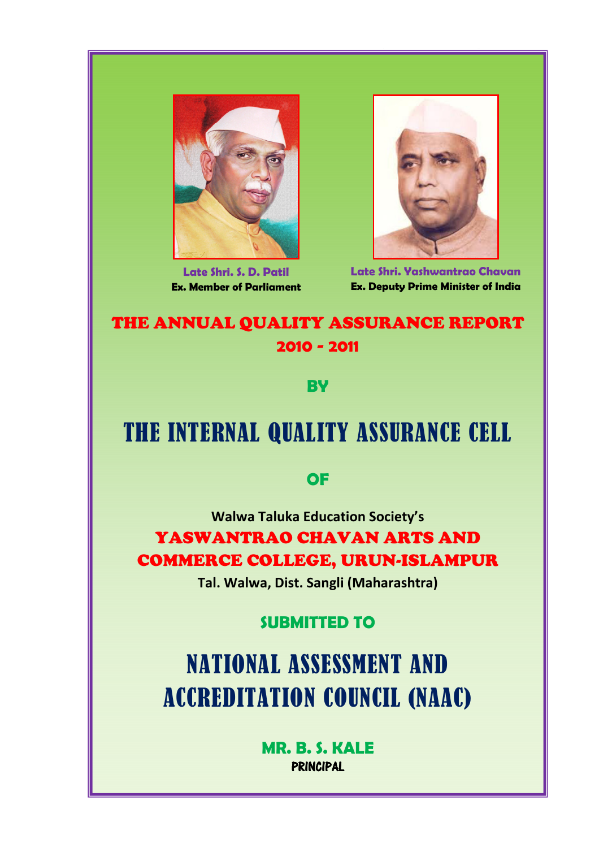

Late Shri. S. D. Patil Ex. Member of Parliament



Late Shri. Yashwantrao Chavan Ex. Deputy Prime Minister of India

# THE ANNUAL QUALITY ASSURANCE REPORT 2010 - 2011

**BV** 

# THE INTERNAL QUALITY ASSURANCE CELL

# **OF**

Walwa Taluka Education Society's YASWANTRAO CHAVAN ARTS AND COMMERCE COLLEGE, URUN-ISLAMPUR

Tal. Walwa, Dist. Sangli (Maharashtra)

# SUBMITTED TO

NATIONAL ASSESSMENT AND ACCREDITATION COUNCIL (NAAC)

> MR. B. S. KALE PRINCIPAL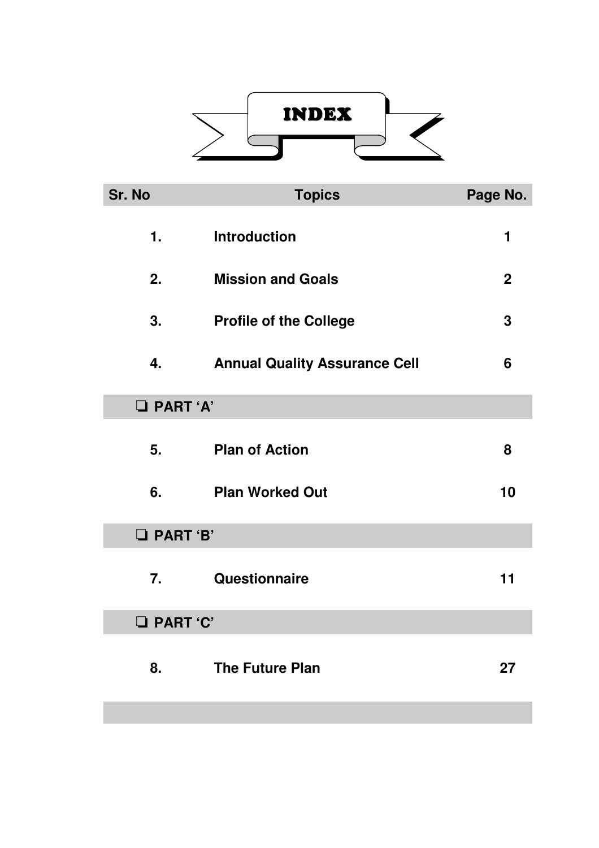

| Sr. No            | <b>Topics</b>                        | Page No.    |  |
|-------------------|--------------------------------------|-------------|--|
| 1.                | <b>Introduction</b>                  | 1           |  |
| 2.                | <b>Mission and Goals</b>             | $\mathbf 2$ |  |
| 3.                | <b>Profile of the College</b>        | 3           |  |
| 4.                | <b>Annual Quality Assurance Cell</b> | 6           |  |
| <b>D</b> PART 'A' |                                      |             |  |
| 5.                | <b>Plan of Action</b>                | 8           |  |
| 6.                | <b>Plan Worked Out</b>               |             |  |
| <b>D</b> PART 'B' |                                      |             |  |
| 7.                | Questionnaire                        | 11          |  |
| <b>D</b> PART 'C' |                                      |             |  |
| 8.                | <b>The Future Plan</b>               | 27          |  |
|                   |                                      |             |  |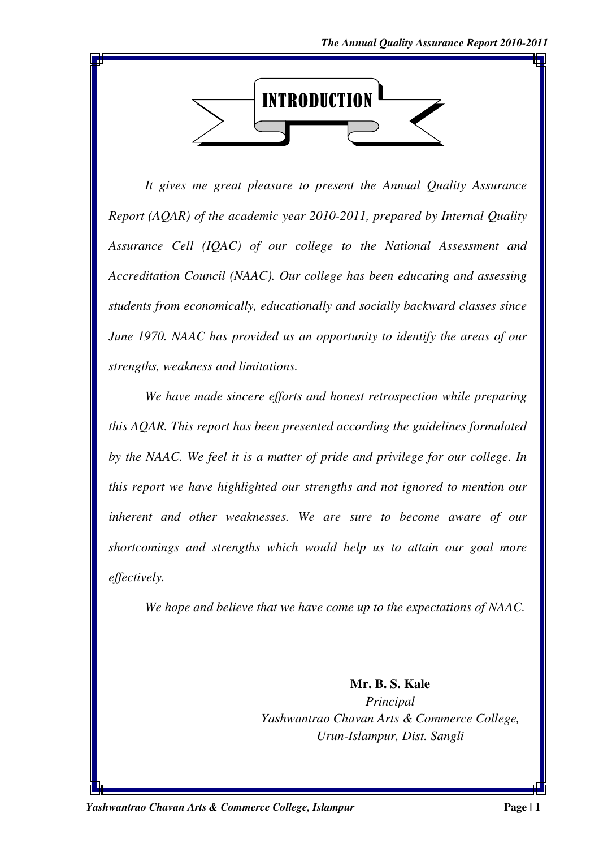

*It gives me great pleasure to present the Annual Quality Assurance Report (AQAR) of the academic year 2010-2011, prepared by Internal Quality Assurance Cell (IQAC) of our college to the National Assessment and Accreditation Council (NAAC). Our college has been educating and assessing students from economically, educationally and socially backward classes since June 1970. NAAC has provided us an opportunity to identify the areas of our strengths, weakness and limitations.* 

*We have made sincere efforts and honest retrospection while preparing this AQAR. This report has been presented according the guidelines formulated by the NAAC. We feel it is a matter of pride and privilege for our college. In this report we have highlighted our strengths and not ignored to mention our inherent and other weaknesses. We are sure to become aware of our shortcomings and strengths which would help us to attain our goal more effectively.* 

*We hope and believe that we have come up to the expectations of NAAC.* 

**Mr. B. S. Kale**  *Principal Yashwantrao Chavan Arts & Commerce College, Urun-Islampur, Dist. Sangli*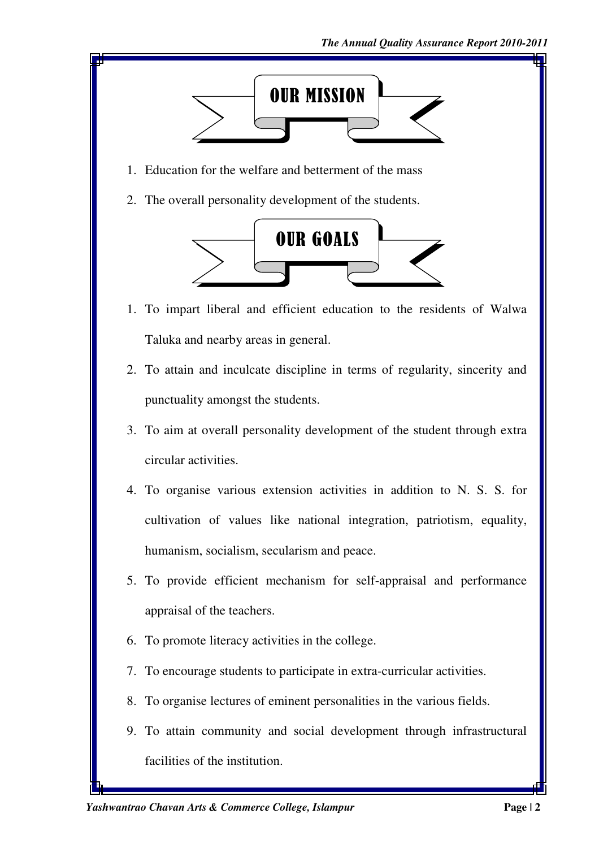

- 1. Education for the welfare and betterment of the mass
- 2. The overall personality development of the students.



- 1. To impart liberal and efficient education to the residents of Walwa Taluka and nearby areas in general.
- 2. To attain and inculcate discipline in terms of regularity, sincerity and punctuality amongst the students.
- 3. To aim at overall personality development of the student through extra circular activities.
- 4. To organise various extension activities in addition to N. S. S. for cultivation of values like national integration, patriotism, equality, humanism, socialism, secularism and peace.
- 5. To provide efficient mechanism for self-appraisal and performance appraisal of the teachers.
- 6. To promote literacy activities in the college.
- 7. To encourage students to participate in extra-curricular activities.
- 8. To organise lectures of eminent personalities in the various fields.
- 9. To attain community and social development through infrastructural facilities of the institution.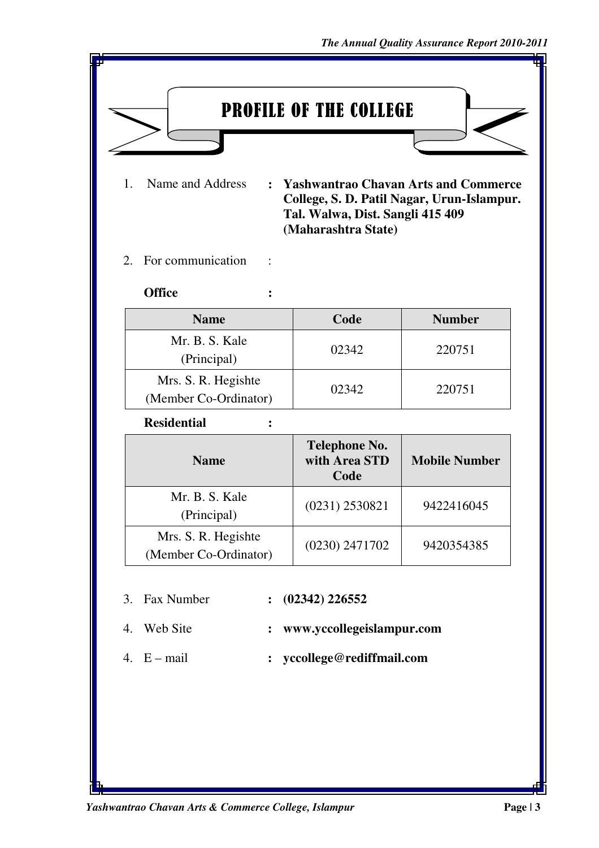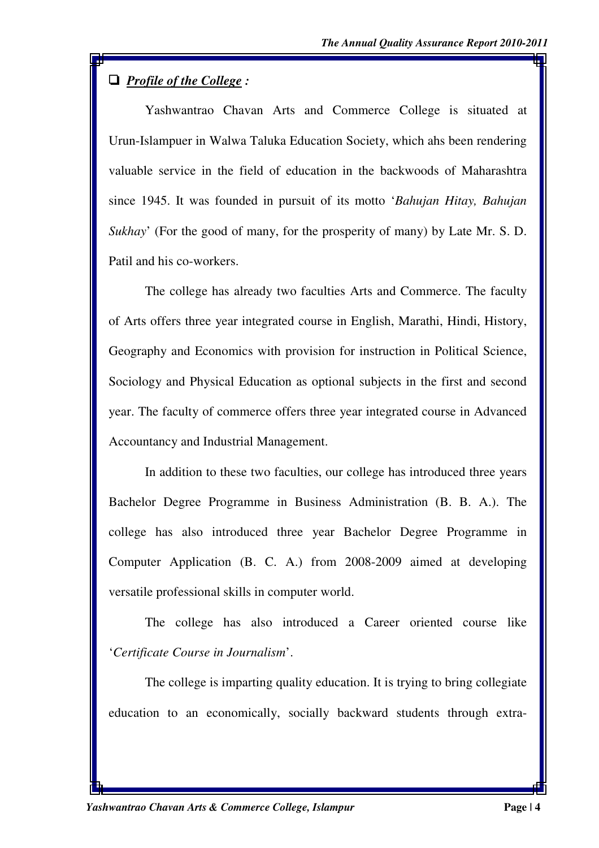## ' *Profile of the College :*

Yashwantrao Chavan Arts and Commerce College is situated at Urun-Islampuer in Walwa Taluka Education Society, which ahs been rendering valuable service in the field of education in the backwoods of Maharashtra since 1945. It was founded in pursuit of its motto '*Bahujan Hitay, Bahujan Sukhay*' (For the good of many, for the prosperity of many) by Late Mr. S. D. Patil and his co-workers.

The college has already two faculties Arts and Commerce. The faculty of Arts offers three year integrated course in English, Marathi, Hindi, History, Geography and Economics with provision for instruction in Political Science, Sociology and Physical Education as optional subjects in the first and second year. The faculty of commerce offers three year integrated course in Advanced Accountancy and Industrial Management.

In addition to these two faculties, our college has introduced three years Bachelor Degree Programme in Business Administration (B. B. A.). The college has also introduced three year Bachelor Degree Programme in Computer Application (B. C. A.) from 2008-2009 aimed at developing versatile professional skills in computer world.

The college has also introduced a Career oriented course like '*Certificate Course in Journalism*'.

The college is imparting quality education. It is trying to bring collegiate education to an economically, socially backward students through extra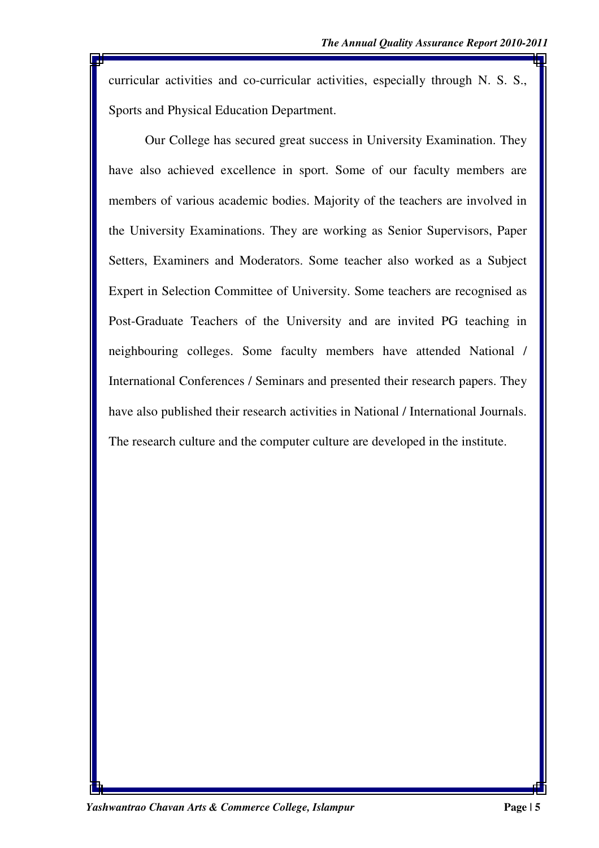curricular activities and co-curricular activities, especially through N. S. S., Sports and Physical Education Department.

Our College has secured great success in University Examination. They have also achieved excellence in sport. Some of our faculty members are members of various academic bodies. Majority of the teachers are involved in the University Examinations. They are working as Senior Supervisors, Paper Setters, Examiners and Moderators. Some teacher also worked as a Subject Expert in Selection Committee of University. Some teachers are recognised as Post-Graduate Teachers of the University and are invited PG teaching in neighbouring colleges. Some faculty members have attended National / International Conferences / Seminars and presented their research papers. They have also published their research activities in National / International Journals. The research culture and the computer culture are developed in the institute.

*Yashwantrao Chavan Arts & Commerce College, Islampur* **Page | 5**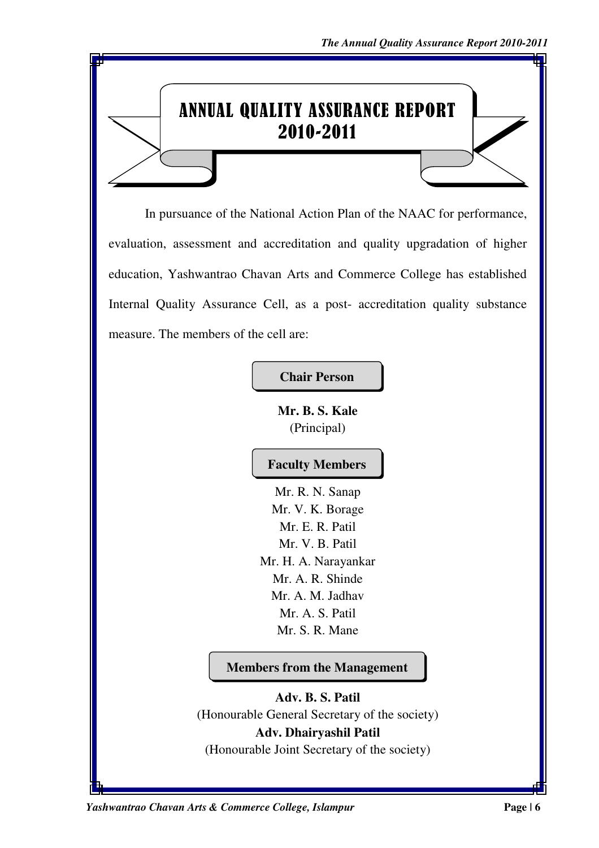# ANNUAL QUALITY ASSURANCE REPORT 2010-2011

In pursuance of the National Action Plan of the NAAC for performance, evaluation, assessment and accreditation and quality upgradation of higher education, Yashwantrao Chavan Arts and Commerce College has established Internal Quality Assurance Cell, as a post- accreditation quality substance measure. The members of the cell are:

**Chair Person** 

**Mr. B. S. Kale**  (Principal)

# **Faculty Members**

Mr. R. N. Sanap Mr. V. K. Borage Mr. E. R. Patil Mr. V. B. Patil Mr. H. A. Narayankar Mr. A. R. Shinde Mr. A. M. Jadhav Mr. A. S. Patil Mr. S. R. Mane

**Members from the Management** 

**Adv. B. S. Patil**  (Honourable General Secretary of the society) **Adv. Dhairyashil Patil**  (Honourable Joint Secretary of the society)

*Yashwantrao Chavan Arts & Commerce College, Islampur* **Page | 6**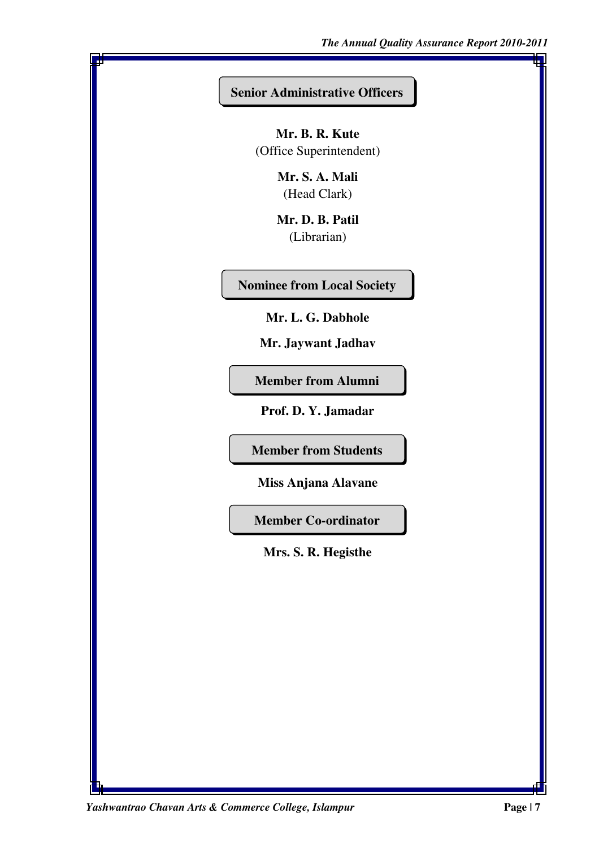#### **Senior Administrative Officers**

**Mr. B. R. Kute**  (Office Superintendent)

> **Mr. S. A. Mali**  (Head Clark)

> **Mr. D. B. Patil**  (Librarian)

**Nominee from Local Society** 

**Mr. L. G. Dabhole** 

**Mr. Jaywant Jadhav** 

**Member from Alumni** 

**Prof. D. Y. Jamadar** 

**Member from Students** 

**Miss Anjana Alavane**

**Member Co-ordinator** 

**Mrs. S. R. Hegisthe** 

*Yashwantrao Chavan Arts & Commerce College, Islampur* **Page | 7**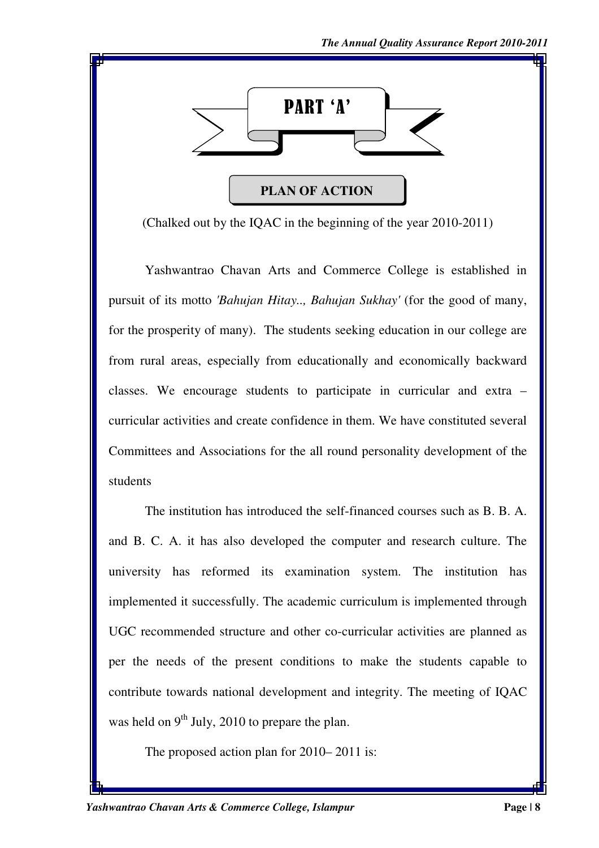

(Chalked out by the IQAC in the beginning of the year 2010-2011)

Yashwantrao Chavan Arts and Commerce College is established in pursuit of its motto *'Bahujan Hitay.., Bahujan Sukhay'* (for the good of many, for the prosperity of many). The students seeking education in our college are from rural areas, especially from educationally and economically backward classes. We encourage students to participate in curricular and extra – curricular activities and create confidence in them. We have constituted several Committees and Associations for the all round personality development of the students

 The institution has introduced the self-financed courses such as B. B. A. and B. C. A. it has also developed the computer and research culture. The university has reformed its examination system. The institution has implemented it successfully. The academic curriculum is implemented through UGC recommended structure and other co-curricular activities are planned as per the needs of the present conditions to make the students capable to contribute towards national development and integrity. The meeting of IQAC was held on  $9<sup>th</sup>$  July, 2010 to prepare the plan.

The proposed action plan for 2010– 2011 is: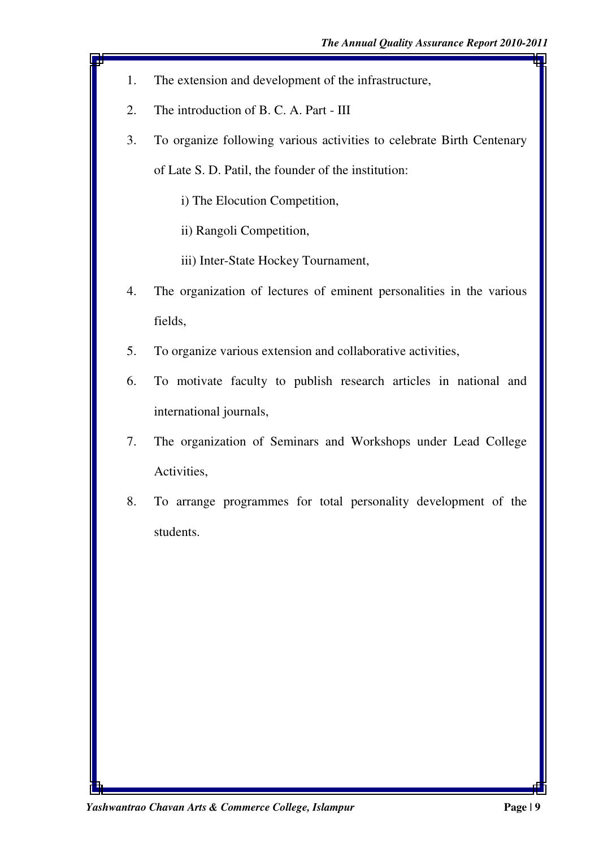- 1. The extension and development of the infrastructure,
- 2. The introduction of B. C. A. Part III
- 3. To organize following various activities to celebrate Birth Centenary of Late S. D. Patil, the founder of the institution:
	- i) The Elocution Competition,
	- ii) Rangoli Competition,
	- iii) Inter-State Hockey Tournament,
- 4. The organization of lectures of eminent personalities in the various fields,
- 5. To organize various extension and collaborative activities,
- 6. To motivate faculty to publish research articles in national and international journals,
- 7. The organization of Seminars and Workshops under Lead College Activities,
- 8. To arrange programmes for total personality development of the students.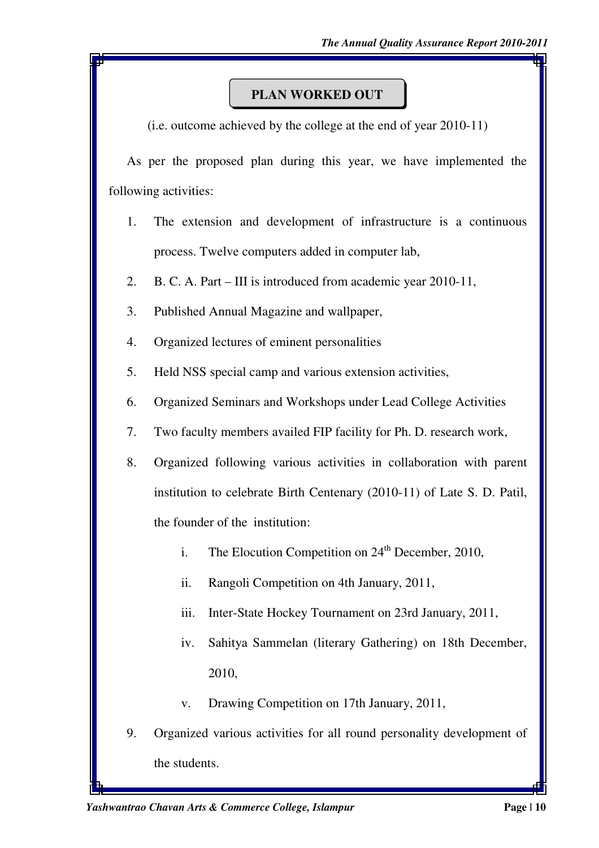# **PLAN WORKED OUT**

(i.e. outcome achieved by the college at the end of year 2010-11)

 As per the proposed plan during this year, we have implemented the following activities:

- 1. The extension and development of infrastructure is a continuous process. Twelve computers added in computer lab,
- 2. B. C. A. Part III is introduced from academic year 2010-11,
- 3. Published Annual Magazine and wallpaper,
- 4. Organized lectures of eminent personalities
- 5. Held NSS special camp and various extension activities,
- 6. Organized Seminars and Workshops under Lead College Activities
- 7. Two faculty members availed FIP facility for Ph. D. research work,
- 8. Organized following various activities in collaboration with parent institution to celebrate Birth Centenary (2010-11) of Late S. D. Patil, the founder of the institution:
	- i. The Elocution Competition on  $24<sup>th</sup>$  December, 2010,
	- ii. Rangoli Competition on 4th January, 2011,
	- iii. Inter-State Hockey Tournament on 23rd January, 2011,
	- iv. Sahitya Sammelan (literary Gathering) on 18th December, 2010,
	- v. Drawing Competition on 17th January, 2011,
- 9. Organized various activities for all round personality development of the students.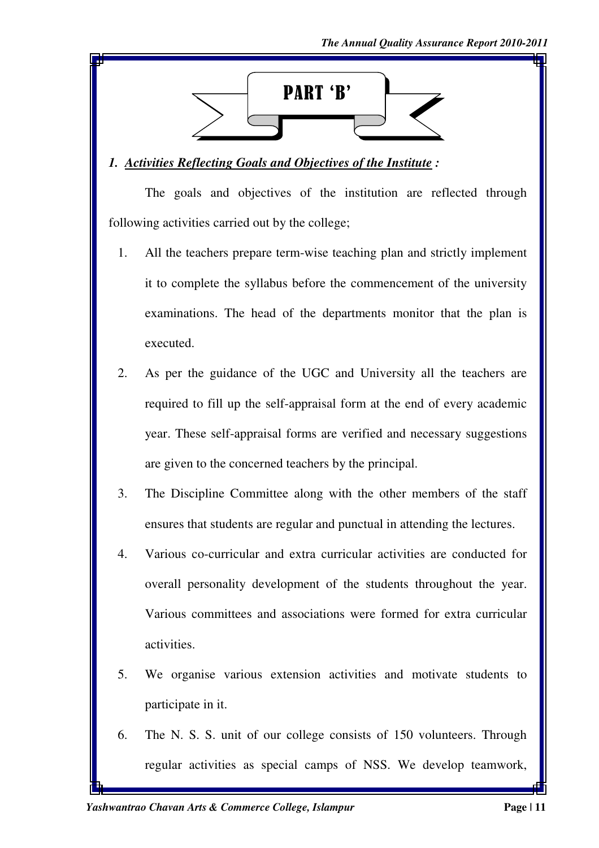

#### *1. Activities Reflecting Goals and Objectives of the Institute :*

The goals and objectives of the institution are reflected through following activities carried out by the college;

- 1. All the teachers prepare term-wise teaching plan and strictly implement it to complete the syllabus before the commencement of the university examinations. The head of the departments monitor that the plan is executed.
- 2. As per the guidance of the UGC and University all the teachers are required to fill up the self-appraisal form at the end of every academic year. These self-appraisal forms are verified and necessary suggestions are given to the concerned teachers by the principal.
- 3. The Discipline Committee along with the other members of the staff ensures that students are regular and punctual in attending the lectures.
- 4. Various co-curricular and extra curricular activities are conducted for overall personality development of the students throughout the year. Various committees and associations were formed for extra curricular activities.
- 5. We organise various extension activities and motivate students to participate in it.
- 6. The N. S. S. unit of our college consists of 150 volunteers. Through regular activities as special camps of NSS. We develop teamwork,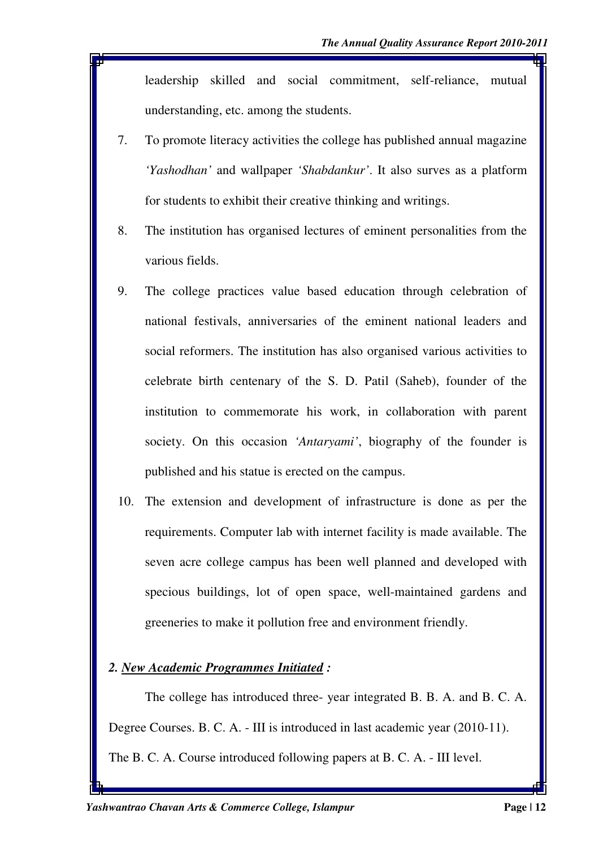leadership skilled and social commitment, self-reliance, mutual understanding, etc. among the students.

- 7. To promote literacy activities the college has published annual magazine *'Yashodhan'* and wallpaper *'Shabdankur'*. It also surves as a platform for students to exhibit their creative thinking and writings.
- 8. The institution has organised lectures of eminent personalities from the various fields.
- 9. The college practices value based education through celebration of national festivals, anniversaries of the eminent national leaders and social reformers. The institution has also organised various activities to celebrate birth centenary of the S. D. Patil (Saheb), founder of the institution to commemorate his work, in collaboration with parent society. On this occasion *'Antaryami'*, biography of the founder is published and his statue is erected on the campus.
- 10. The extension and development of infrastructure is done as per the requirements. Computer lab with internet facility is made available. The seven acre college campus has been well planned and developed with specious buildings, lot of open space, well-maintained gardens and greeneries to make it pollution free and environment friendly.

#### *2. New Academic Programmes Initiated :*

The college has introduced three- year integrated B. B. A. and B. C. A. Degree Courses. B. C. A. - III is introduced in last academic year (2010-11). The B. C. A. Course introduced following papers at B. C. A. - III level.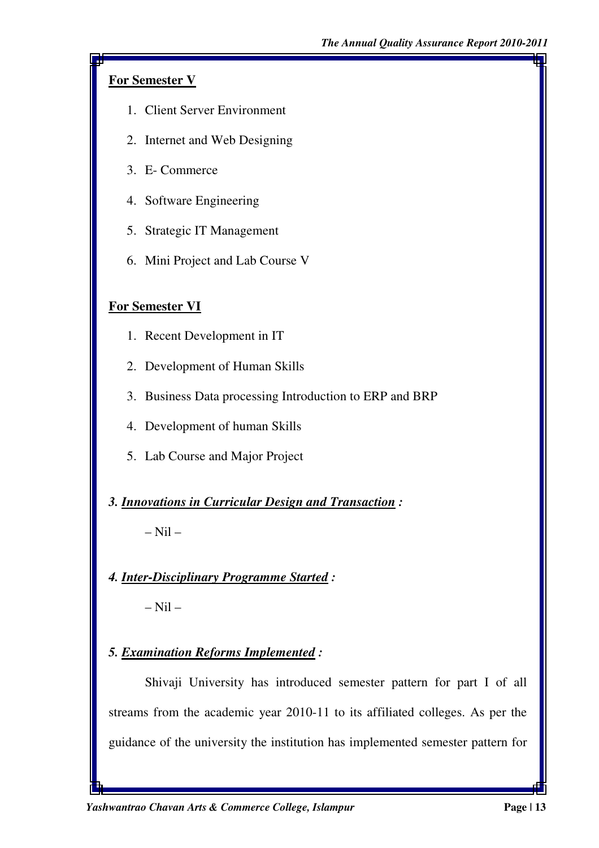# **For Semester V**

- 1. Client Server Environment
- 2. Internet and Web Designing
- 3. E- Commerce
- 4. Software Engineering
- 5. Strategic IT Management
- 6. Mini Project and Lab Course V

# **For Semester VI**

- 1. Recent Development in IT
- 2. Development of Human Skills
- 3. Business Data processing Introduction to ERP and BRP
- 4. Development of human Skills
- 5. Lab Course and Major Project
- *3. Innovations in Curricular Design and Transaction :*

– Nil –

*4. Inter-Disciplinary Programme Started :*

 $-$  Nil  $-$ 

*5. Examination Reforms Implemented :*

Shivaji University has introduced semester pattern for part I of all streams from the academic year 2010-11 to its affiliated colleges. As per the guidance of the university the institution has implemented semester pattern for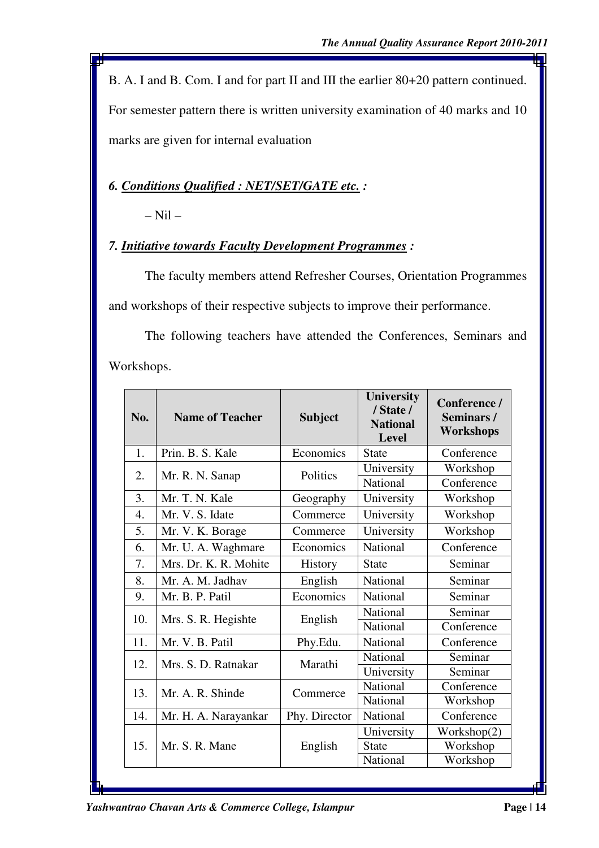B. A. I and B. Com. I and for part II and III the earlier 80+20 pattern continued. For semester pattern there is written university examination of 40 marks and 10 marks are given for internal evaluation

# *6. Conditions Qualified : NET/SET/GATE etc. :*

 $-$  Nil  $-$ 

## *7. Initiative towards Faculty Development Programmes :*

The faculty members attend Refresher Courses, Orientation Programmes and workshops of their respective subjects to improve their performance.

The following teachers have attended the Conferences, Seminars and Workshops.

| No.              | <b>Name of Teacher</b> | <b>Subject</b> | <b>University</b><br>/ State /<br><b>National</b><br><b>Level</b> | Conference /<br>Seminars/<br><b>Workshops</b> |  |
|------------------|------------------------|----------------|-------------------------------------------------------------------|-----------------------------------------------|--|
| 1.               | Prin. B. S. Kale       | Economics      | <b>State</b>                                                      | Conference                                    |  |
| 2.               | Mr. R. N. Sanap        | Politics       | University                                                        | Workshop                                      |  |
|                  |                        |                | <b>National</b>                                                   | Conference                                    |  |
| 3.               | Mr. T. N. Kale         | Geography      | University                                                        | Workshop                                      |  |
| $\overline{4}$ . | Mr. V. S. Idate        | Commerce       | University                                                        | Workshop                                      |  |
| 5.               | Mr. V. K. Borage       | Commerce       | University                                                        | Workshop                                      |  |
| 6.               | Mr. U. A. Waghmare     | Economics      | National                                                          | Conference                                    |  |
| 7.               | Mrs. Dr. K. R. Mohite  | <b>History</b> | <b>State</b>                                                      | Seminar                                       |  |
| 8.               | Mr. A. M. Jadhav       | English        | National                                                          | Seminar                                       |  |
| 9.               | Mr. B. P. Patil        | Economics      | <b>National</b>                                                   | Seminar                                       |  |
| 10.              | Mrs. S. R. Hegishte    | English        | National                                                          | Seminar                                       |  |
|                  |                        |                | National                                                          | Conference                                    |  |
| 11.              | Mr. V. B. Patil        | Phy.Edu.       | National                                                          | Conference                                    |  |
| 12.              | Mrs. S. D. Ratnakar    | Marathi        | National                                                          | Seminar                                       |  |
|                  |                        |                | University                                                        | Seminar                                       |  |
| 13.              | Mr. A. R. Shinde       | Commerce       | National                                                          | Conference                                    |  |
|                  |                        |                | National                                                          | Workshop                                      |  |
| 14.              | Mr. H. A. Narayankar   | Phy. Director  | National                                                          | Conference                                    |  |
|                  |                        |                | University                                                        | Workshop(2)                                   |  |
| 15.              | Mr. S. R. Mane         | English        | <b>State</b>                                                      | Workshop                                      |  |
|                  |                        |                | National                                                          | Workshop                                      |  |

*Yashwantrao Chavan Arts & Commerce College, Islampur* Page | 14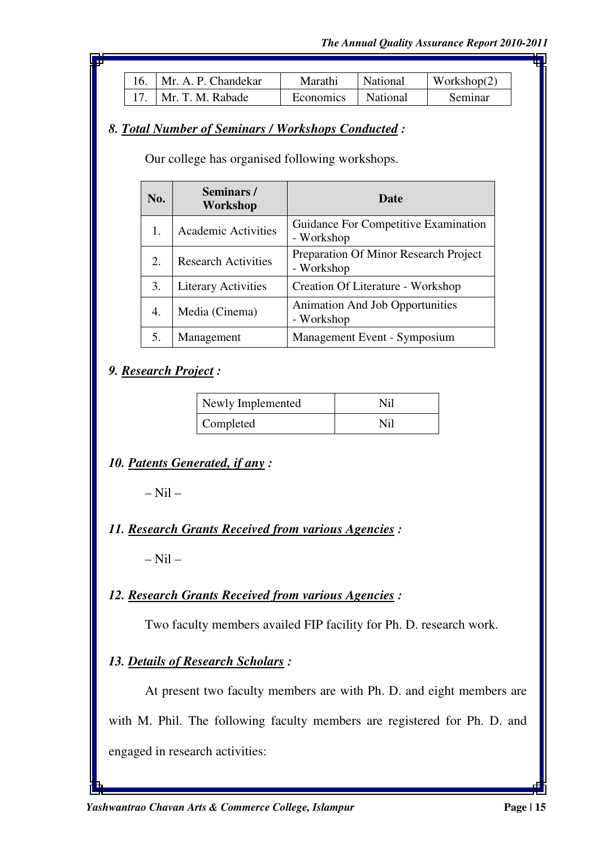| 16.   Mr. A. P. Chandekar | Marathi              | National | Workshop $(2)$ |
|---------------------------|----------------------|----------|----------------|
| 17.   Mr. T. M. Rabade    | Economics   National |          | Seminar        |

#### *8. Total Number of Seminars / Workshops Conducted :*

Our college has organised following workshops.

| No. | Seminars/<br>Workshop      | Date                                                 |
|-----|----------------------------|------------------------------------------------------|
| 1.  | <b>Academic Activities</b> | Guidance For Competitive Examination<br>- Workshop   |
| 2.  | <b>Research Activities</b> | Preparation Of Minor Research Project<br>- Workshop  |
| 3.  | <b>Literary Activities</b> | Creation Of Literature - Workshop                    |
| 4.  | Media (Cinema)             | <b>Animation And Job Opportunities</b><br>- Workshop |
| 5.  | Management                 | Management Event - Symposium                         |

#### *9. Research Project :*

| Newly Implemented | Nil |
|-------------------|-----|
| Completed         | Nil |

## *10. Patents Generated, if any :*

 $-$  Nil  $-$ 

## *11. Research Grants Received from various Agencies :*

 $-$  Nil  $-$ 

## *12. Research Grants Received from various Agencies :*

Two faculty members availed FIP facility for Ph. D. research work.

## *13. Details of Research Scholars :*

At present two faculty members are with Ph. D. and eight members are with M. Phil. The following faculty members are registered for Ph. D. and engaged in research activities: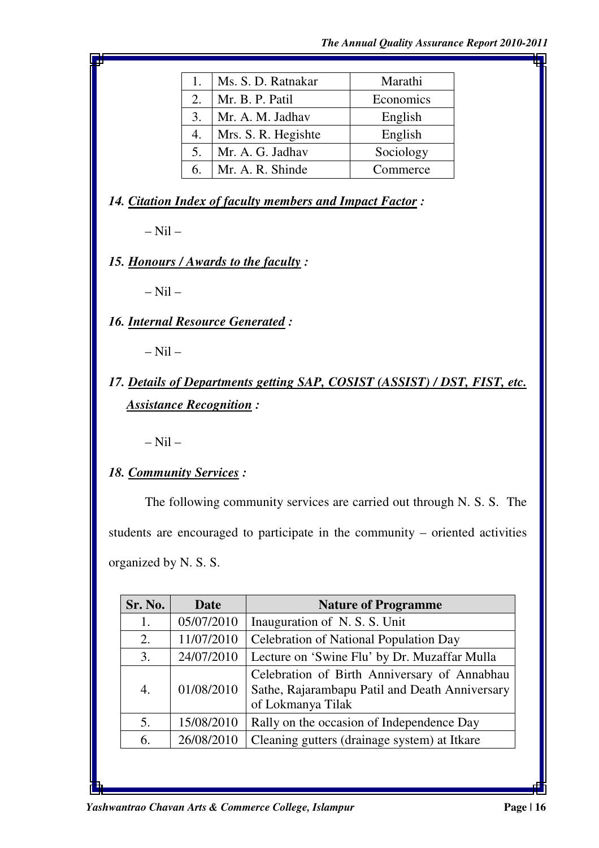| 1. | Ms. S. D. Ratnakar  | Marathi   |
|----|---------------------|-----------|
| 2. | Mr. B. P. Patil     | Economics |
| 3. | Mr. A. M. Jadhav    | English   |
| 4. | Mrs. S. R. Hegishte | English   |
| 5. | Mr. A. G. Jadhav    | Sociology |
| 6. | Mr. A. R. Shinde    | Commerce  |

*14. Citation Index of faculty members and Impact Factor :* 

 $-$  Nil  $-$ 

*15. Honours / Awards to the faculty :* 

 $-$  Nil  $-$ 

*16. Internal Resource Generated :* 

 $-$  Nil  $-$ 

*17. Details of Departments getting SAP, COSIST (ASSIST) / DST, FIST, etc. Assistance Recognition :* 

 $-$  Nil  $-$ 

*18. Community Services :* 

The following community services are carried out through N. S. S. The students are encouraged to participate in the community – oriented activities organized by N. S. S.

| Sr. No. | Date       | <b>Nature of Programme</b>                                                                                          |
|---------|------------|---------------------------------------------------------------------------------------------------------------------|
| 1.      | 05/07/2010 | Inauguration of N.S.S. Unit                                                                                         |
| 2.      | 11/07/2010 | Celebration of National Population Day                                                                              |
| 3.      | 24/07/2010 | Lecture on 'Swine Flu' by Dr. Muzaffar Mulla                                                                        |
| 4.      | 01/08/2010 | Celebration of Birth Anniversary of Annabhau<br>Sathe, Rajarambapu Patil and Death Anniversary<br>of Lokmanya Tilak |
| 5.      | 15/08/2010 | Rally on the occasion of Independence Day                                                                           |
| 6.      | 26/08/2010 | Cleaning gutters (drainage system) at Itkare                                                                        |
|         |            |                                                                                                                     |

*Yashwantrao Chavan Arts & Commerce College, Islampur* Page | 16 **Page | 16 Page | 16 Page | 16 Page | 16 Page | 16 Page | 16 Page | 16 Page | 16 Page | 16 Page | 16 Page | 16 Page | 16 Page | 16**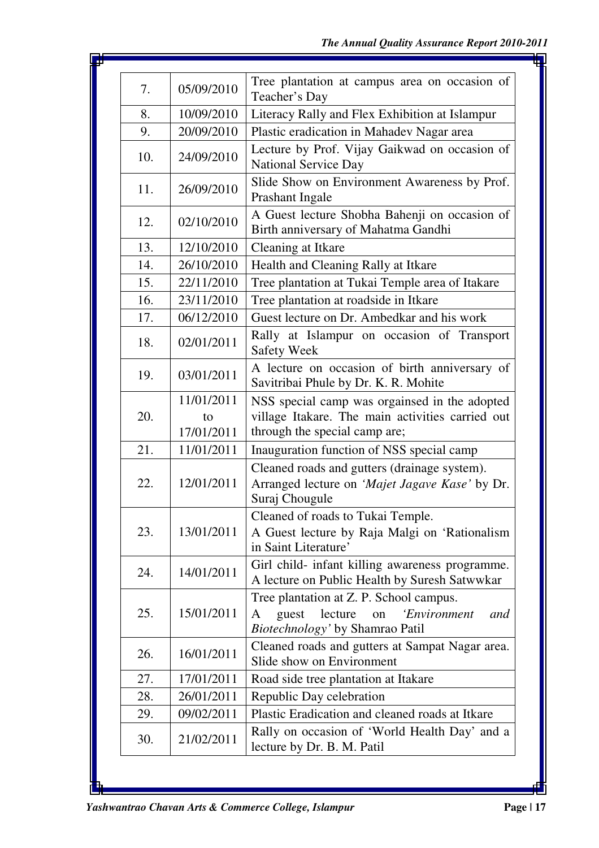| 7.  | 05/09/2010 | Tree plantation at campus area on occasion of<br>Teacher's Day                                                                   |  |  |  |
|-----|------------|----------------------------------------------------------------------------------------------------------------------------------|--|--|--|
| 8.  | 10/09/2010 | Literacy Rally and Flex Exhibition at Islampur                                                                                   |  |  |  |
| 9.  | 20/09/2010 | Plastic eradication in Mahadev Nagar area                                                                                        |  |  |  |
| 10. | 24/09/2010 | Lecture by Prof. Vijay Gaikwad on occasion of<br><b>National Service Day</b>                                                     |  |  |  |
| 11. | 26/09/2010 | Slide Show on Environment Awareness by Prof.<br>Prashant Ingale                                                                  |  |  |  |
| 12. | 02/10/2010 | A Guest lecture Shobha Bahenji on occasion of<br>Birth anniversary of Mahatma Gandhi                                             |  |  |  |
| 13. | 12/10/2010 | Cleaning at Itkare                                                                                                               |  |  |  |
| 14. | 26/10/2010 | Health and Cleaning Rally at Itkare                                                                                              |  |  |  |
| 15. | 22/11/2010 | Tree plantation at Tukai Temple area of Itakare                                                                                  |  |  |  |
| 16. | 23/11/2010 | Tree plantation at roadside in Itkare                                                                                            |  |  |  |
| 17. | 06/12/2010 | Guest lecture on Dr. Ambedkar and his work                                                                                       |  |  |  |
| 18. | 02/01/2011 | Rally at Islampur on occasion of Transport<br><b>Safety Week</b>                                                                 |  |  |  |
| 19. | 03/01/2011 | A lecture on occasion of birth anniversary of<br>Savitribai Phule by Dr. K. R. Mohite                                            |  |  |  |
|     | 11/01/2011 | NSS special camp was orgainsed in the adopted                                                                                    |  |  |  |
| 20. | to         | village Itakare. The main activities carried out                                                                                 |  |  |  |
|     | 17/01/2011 | through the special camp are;                                                                                                    |  |  |  |
| 21. | 11/01/2011 | Inauguration function of NSS special camp                                                                                        |  |  |  |
| 22. | 12/01/2011 | Cleaned roads and gutters (drainage system).<br>Arranged lecture on 'Majet Jagave Kase' by Dr.<br>Suraj Chougule                 |  |  |  |
| 23. | 13/01/2011 | Cleaned of roads to Tukai Temple.<br>A Guest lecture by Raja Malgi on 'Rationalism<br>in Saint Literature'                       |  |  |  |
| 24. | 14/01/2011 | Girl child- infant killing awareness programme.<br>A lecture on Public Health by Suresh Satwwkar                                 |  |  |  |
| 25. | 15/01/2011 | Tree plantation at Z. P. School campus.<br>'Environment<br>lecture<br>guest<br>on<br>and<br>A<br>Biotechnology' by Shamrao Patil |  |  |  |
| 26. | 16/01/2011 | Cleaned roads and gutters at Sampat Nagar area.<br>Slide show on Environment                                                     |  |  |  |
| 27. | 17/01/2011 | Road side tree plantation at Itakare                                                                                             |  |  |  |
| 28. | 26/01/2011 | Republic Day celebration                                                                                                         |  |  |  |
| 29. | 09/02/2011 | Plastic Eradication and cleaned roads at Itkare                                                                                  |  |  |  |
| 30. | 21/02/2011 | Rally on occasion of 'World Health Day' and a<br>lecture by Dr. B. M. Patil                                                      |  |  |  |

J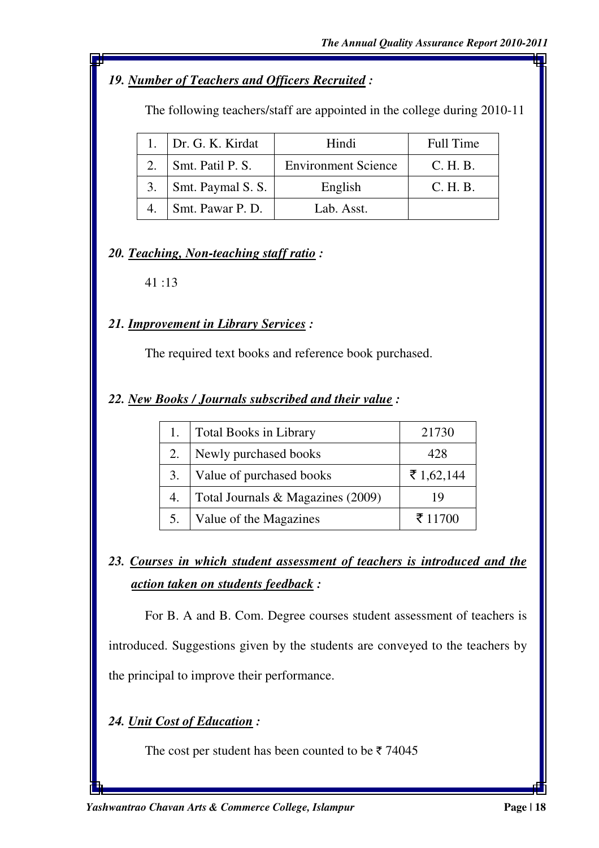# *19. Number of Teachers and Officers Recruited :*

The following teachers/staff are appointed in the college during 2010-11

| 1. $Dr. G. K. Kirdat$        | Hindi                      | Full Time |
|------------------------------|----------------------------|-----------|
| Smt. Patil P. S.             | <b>Environment Science</b> | C. H. B.  |
| 3. $\vert$ Smt. Paymal S. S. | English                    | C. H. B.  |
| Smt. Pawar P. D.             | Lab. Asst.                 |           |

## *20. Teaching, Non-teaching staff ratio :*

41 :13

## *21. Improvement in Library Services :*

The required text books and reference book purchased.

#### *22. New Books / Journals subscribed and their value :*

|    | Total Books in Library            | 21730      |
|----|-----------------------------------|------------|
| 2. | Newly purchased books             | 428        |
| 3. | Value of purchased books          | ₹ 1,62,144 |
| 4. | Total Journals & Magazines (2009) | 19         |
|    | Value of the Magazines            | ₹ 11700    |

*23. Courses in which student assessment of teachers is introduced and the action taken on students feedback :* 

For B. A and B. Com. Degree courses student assessment of teachers is introduced. Suggestions given by the students are conveyed to the teachers by the principal to improve their performance.

# *24. Unit Cost of Education :*

The cost per student has been counted to be  $\bar{\tau}$  74045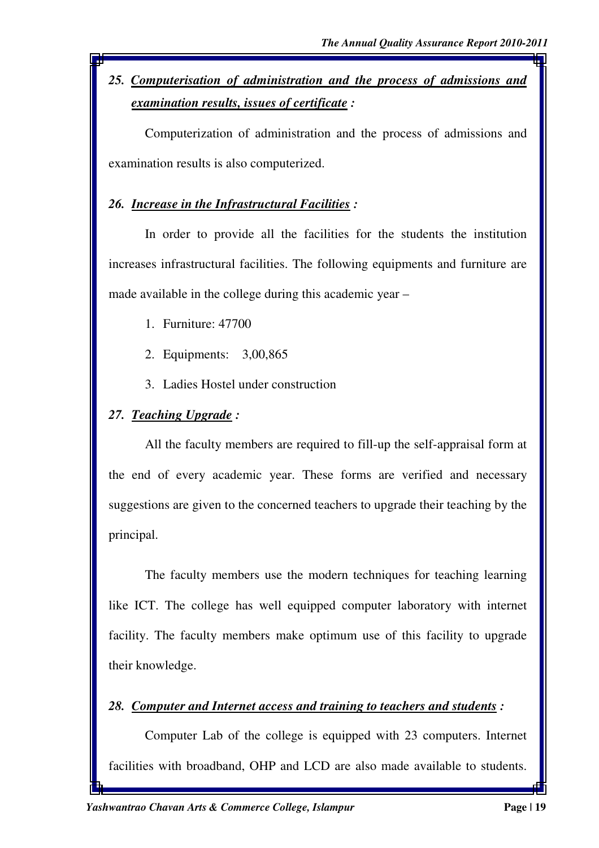*25. Computerisation of administration and the process of admissions and examination results, issues of certificate :* 

Computerization of administration and the process of admissions and examination results is also computerized.

# *26. Increase in the Infrastructural Facilities :*

In order to provide all the facilities for the students the institution increases infrastructural facilities. The following equipments and furniture are made available in the college during this academic year –

- 1. Furniture: 47700
- 2. Equipments: 3,00,865
- 3. Ladies Hostel under construction

# *27. Teaching Upgrade :*

All the faculty members are required to fill-up the self-appraisal form at the end of every academic year. These forms are verified and necessary suggestions are given to the concerned teachers to upgrade their teaching by the principal.

The faculty members use the modern techniques for teaching learning like ICT. The college has well equipped computer laboratory with internet facility. The faculty members make optimum use of this facility to upgrade their knowledge.

# *28. Computer and Internet access and training to teachers and students :*

Computer Lab of the college is equipped with 23 computers. Internet facilities with broadband, OHP and LCD are also made available to students.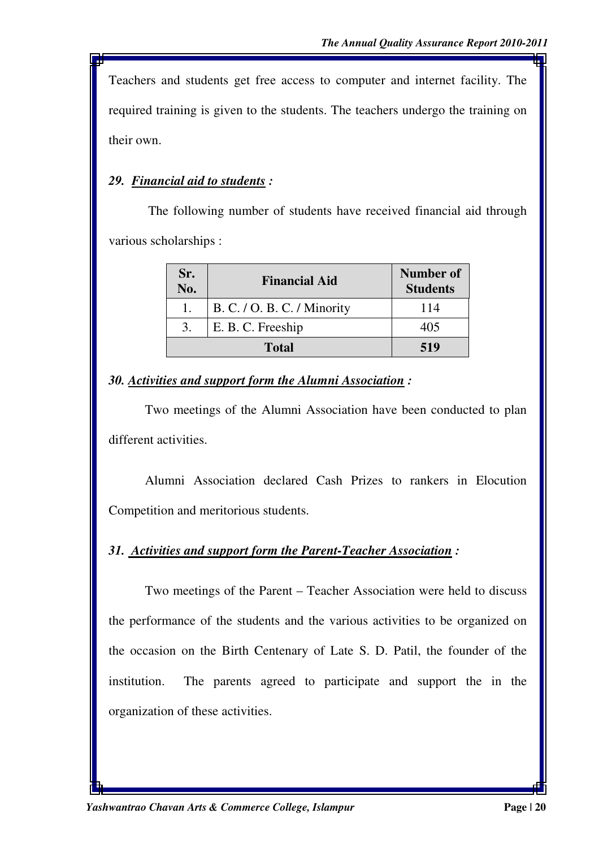Teachers and students get free access to computer and internet facility. The required training is given to the students. The teachers undergo the training on their own.

## *29. Financial aid to students :*

 The following number of students have received financial aid through various scholarships :

| Sr.<br>No. | <b>Financial Aid</b>        | Number of<br><b>Students</b> |
|------------|-----------------------------|------------------------------|
|            | B. C. / O. B. C. / Minority | 114                          |
| 3.         | E. B. C. Freeship           | 405                          |
|            | <b>Total</b>                | 519                          |

#### *30. Activities and support form the Alumni Association :*

Two meetings of the Alumni Association have been conducted to plan different activities.

Alumni Association declared Cash Prizes to rankers in Elocution Competition and meritorious students.

## *31. Activities and support form the Parent-Teacher Association :*

Two meetings of the Parent – Teacher Association were held to discuss the performance of the students and the various activities to be organized on the occasion on the Birth Centenary of Late S. D. Patil, the founder of the institution. The parents agreed to participate and support the in the organization of these activities.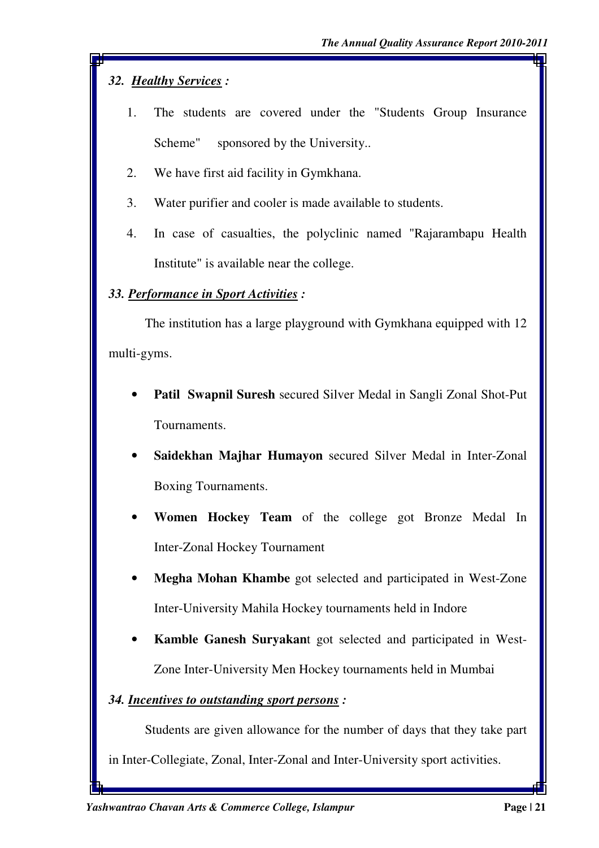# *32. Healthy Services :*

- 1. The students are covered under the "Students Group Insurance Scheme" sponsored by the University...
- 2. We have first aid facility in Gymkhana.
- 3. Water purifier and cooler is made available to students.
- 4. In case of casualties, the polyclinic named "Rajarambapu Health Institute" is available near the college.

## *33. Performance in Sport Activities :*

 The institution has a large playground with Gymkhana equipped with 12 multi-gyms.

- **Patil Swapnil Suresh** secured Silver Medal in Sangli Zonal Shot-Put Tournaments.
- **Saidekhan Majhar Humayon** secured Silver Medal in Inter-Zonal Boxing Tournaments.
- **Women Hockey Team** of the college got Bronze Medal In Inter-Zonal Hockey Tournament
- **Megha Mohan Khambe** got selected and participated in West-Zone Inter-University Mahila Hockey tournaments held in Indore
- **Kamble Ganesh Suryakan**t got selected and participated in West-Zone Inter-University Men Hockey tournaments held in Mumbai

## *34. Incentives to outstanding sport persons :*

Students are given allowance for the number of days that they take part

in Inter-Collegiate, Zonal, Inter-Zonal and Inter-University sport activities.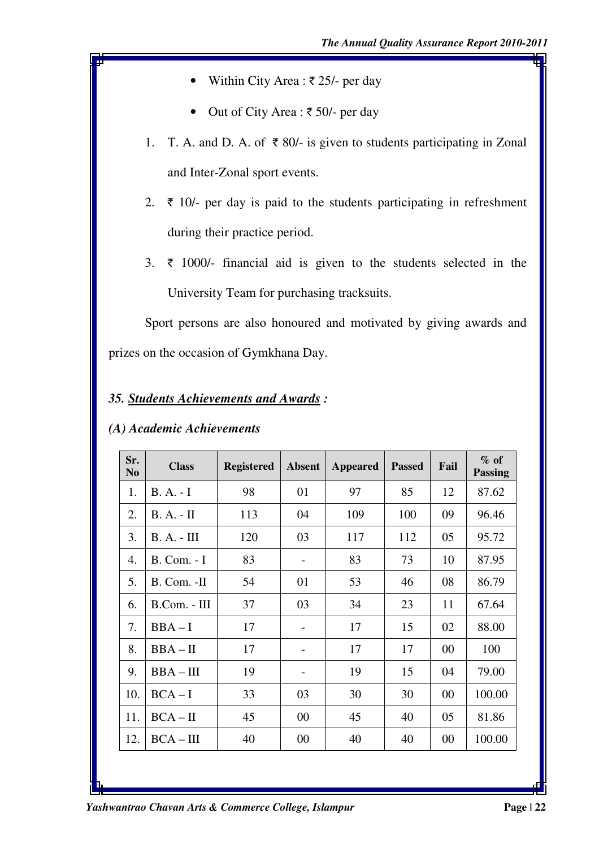- Within City Area :  $\bar{\tau}$  25/- per day
- Out of City Area :  $\overline{\epsilon}$  50/- per day
- 1. T. A. and D. A. of  $\bar{\tau}$  80/- is given to students participating in Zonal and Inter-Zonal sport events.
- 2.  $\bar{\tau}$  10/- per day is paid to the students participating in refreshment during their practice period.
- 3.  $\bar{\tau}$  1000/- financial aid is given to the students selected in the University Team for purchasing tracksuits.

Sport persons are also honoured and motivated by giving awards and prizes on the occasion of Gymkhana Day.

## *35. Students Achievements and Awards :*

| Sr.<br>N <sub>0</sub> | <b>Class</b>         | <b>Registered</b> | <b>Absent</b> | Appeared | <b>Passed</b> | Fail | $\%$ of<br><b>Passing</b> |
|-----------------------|----------------------|-------------------|---------------|----------|---------------|------|---------------------------|
| 1.                    | $B. A. - I$          | 98                | 01            | 97       | 85            | 12   | 87.62                     |
| 2.                    | $B. A. - II$         | 113               | 04            | 109      | 100           | 09   | 96.46                     |
| 3.                    | $B. A. - III$        | 120               | 03            | 117      | 112           | 05   | 95.72                     |
| 4.                    | $B. Com. - I$        | 83                |               | 83       | 73            | 10   | 87.95                     |
| 5.                    | B. Com. -II          | 54                | 01            | 53       | 46            | 08   | 86.79                     |
| 6.                    | $B_{\rm}$ Com. - III | 37                | 03            | 34       | 23            | 11   | 67.64                     |
| 7.                    | $BBA-I$              | 17                |               | 17       | 15            | 02   | 88.00                     |
| 8.                    | $BBA - II$           | 17                |               | 17       | 17            | 00   | 100                       |
| 9.                    | $BBA - III$          | 19                |               | 19       | 15            | 04   | 79.00                     |
| 10.                   | $BCA-I$              | 33                | 03            | 30       | 30            | 00   | 100.00                    |
| 11.                   | $BCA - II$           | 45                | 00            | 45       | 40            | 05   | 81.86                     |
| 12.                   | $BCA - III$          | 40                | $00\,$        | 40       | 40            | 00   | 100.00                    |
|                       |                      |                   |               |          |               |      |                           |

#### *(A) Academic Achievements*

*Yashwantrao Chavan Arts & Commerce College, Islampur* **Page | 22 Page | 22 Page | 22**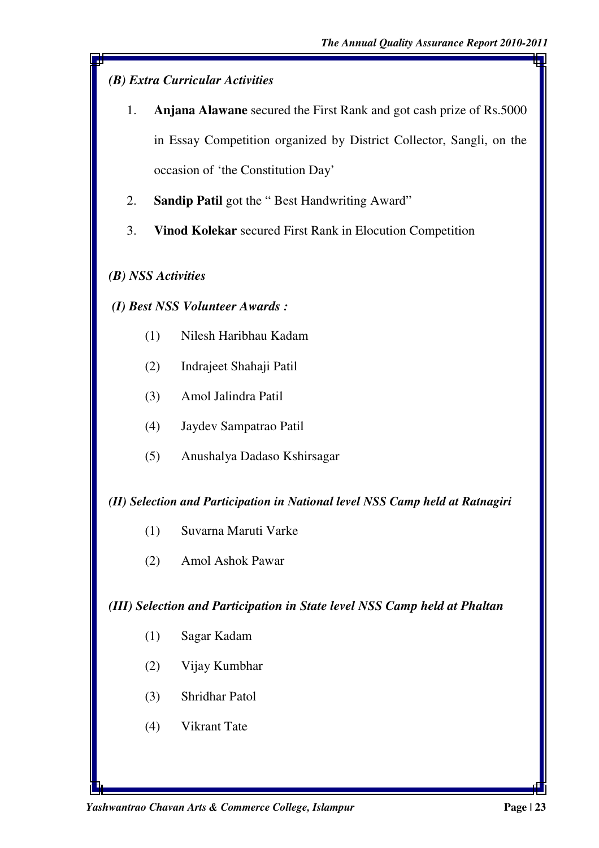# *(B) Extra Curricular Activities*

- 1. **Anjana Alawane** secured the First Rank and got cash prize of Rs.5000 in Essay Competition organized by District Collector, Sangli, on the occasion of 'the Constitution Day'
- 2. **Sandip Patil** got the " Best Handwriting Award"
- 3. **Vinod Kolekar** secured First Rank in Elocution Competition

#### *(B) NSS Activities*

#### *(I) Best NSS Volunteer Awards :*

- (1) Nilesh Haribhau Kadam
- (2) Indrajeet Shahaji Patil
- (3) Amol Jalindra Patil
- (4) Jaydev Sampatrao Patil
- (5) Anushalya Dadaso Kshirsagar

#### *(II) Selection and Participation in National level NSS Camp held at Ratnagiri*

- (1) Suvarna Maruti Varke
- (2) Amol Ashok Pawar

#### *(III) Selection and Participation in State level NSS Camp held at Phaltan*

- (1) Sagar Kadam
- (2) Vijay Kumbhar
- (3) Shridhar Patol
- (4) Vikrant Tate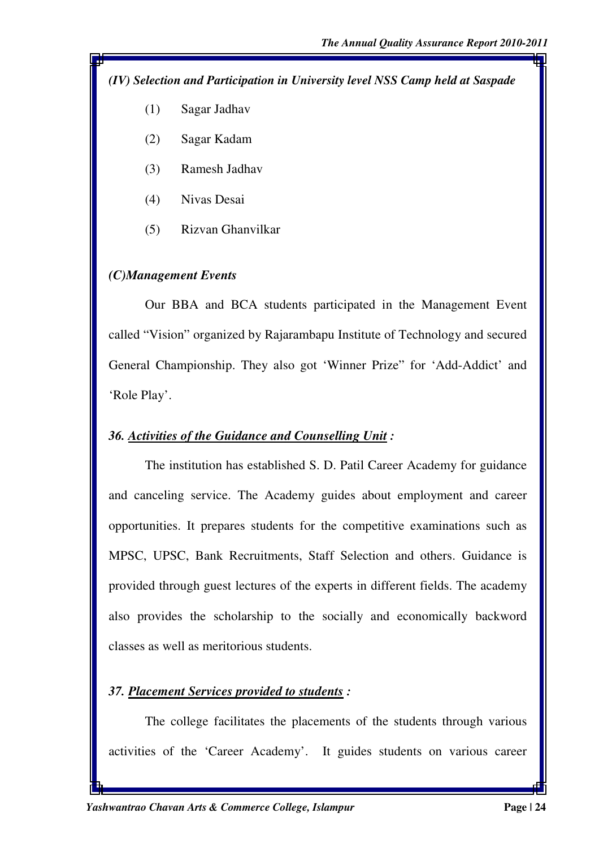*(IV) Selection and Participation in University level NSS Camp held at Saspade* 

- (1) Sagar Jadhav
- (2) Sagar Kadam
- (3) Ramesh Jadhav
- (4) Nivas Desai
- (5) Rizvan Ghanvilkar

#### *(C)Management Events*

Our BBA and BCA students participated in the Management Event called "Vision" organized by Rajarambapu Institute of Technology and secured General Championship. They also got 'Winner Prize" for 'Add-Addict' and 'Role Play'.

#### *36. Activities of the Guidance and Counselling Unit :*

 The institution has established S. D. Patil Career Academy for guidance and canceling service. The Academy guides about employment and career opportunities. It prepares students for the competitive examinations such as MPSC, UPSC, Bank Recruitments, Staff Selection and others. Guidance is provided through guest lectures of the experts in different fields. The academy also provides the scholarship to the socially and economically backword classes as well as meritorious students.

#### *37. Placement Services provided to students :*

The college facilitates the placements of the students through various activities of the 'Career Academy'. It guides students on various career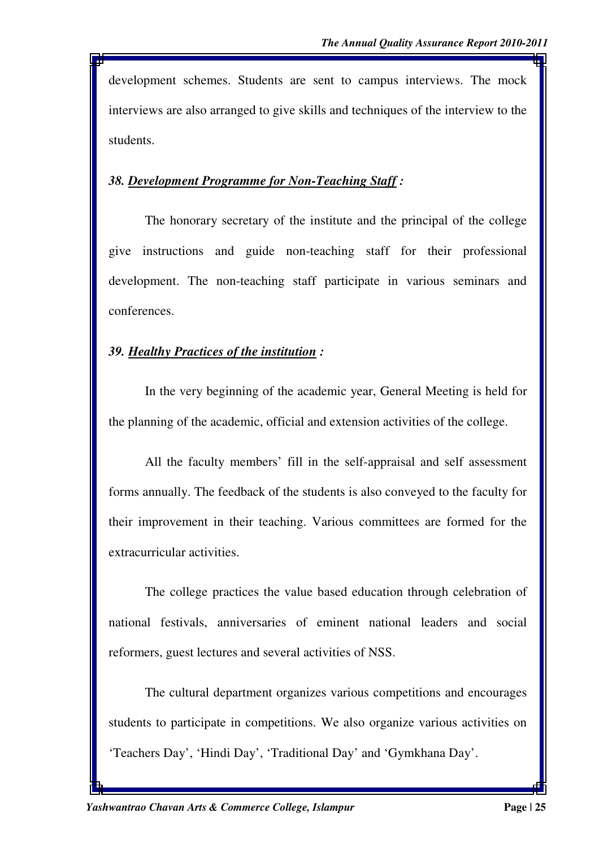development schemes. Students are sent to campus interviews. The mock interviews are also arranged to give skills and techniques of the interview to the students.

#### *38. Development Programme for Non-Teaching Staff :*

The honorary secretary of the institute and the principal of the college give instructions and guide non-teaching staff for their professional development. The non-teaching staff participate in various seminars and conferences.

#### *39. Healthy Practices of the institution :*

In the very beginning of the academic year, General Meeting is held for the planning of the academic, official and extension activities of the college.

All the faculty members' fill in the self-appraisal and self assessment forms annually. The feedback of the students is also conveyed to the faculty for their improvement in their teaching. Various committees are formed for the extracurricular activities.

The college practices the value based education through celebration of national festivals, anniversaries of eminent national leaders and social reformers, guest lectures and several activities of NSS.

The cultural department organizes various competitions and encourages students to participate in competitions. We also organize various activities on 'Teachers Day', 'Hindi Day', 'Traditional Day' and 'Gymkhana Day'.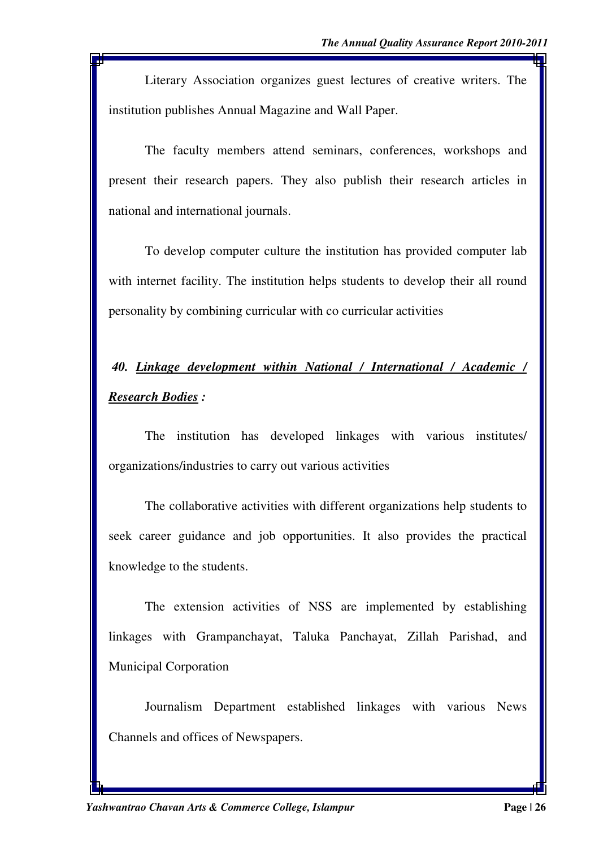Literary Association organizes guest lectures of creative writers. The institution publishes Annual Magazine and Wall Paper.

The faculty members attend seminars, conferences, workshops and present their research papers. They also publish their research articles in national and international journals.

To develop computer culture the institution has provided computer lab with internet facility. The institution helps students to develop their all round personality by combining curricular with co curricular activities

# *40. Linkage development within National / International / Academic / Research Bodies :*

 The institution has developed linkages with various institutes/ organizations/industries to carry out various activities

 The collaborative activities with different organizations help students to seek career guidance and job opportunities. It also provides the practical knowledge to the students.

 The extension activities of NSS are implemented by establishing linkages with Grampanchayat, Taluka Panchayat, Zillah Parishad, and Municipal Corporation

 Journalism Department established linkages with various News Channels and offices of Newspapers.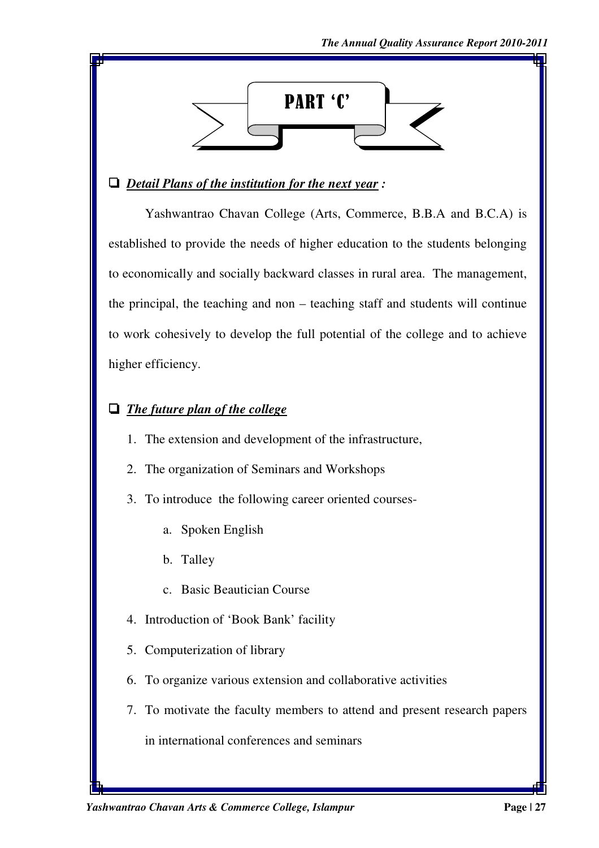

#### ' *Detail Plans of the institution for the next year :*

 Yashwantrao Chavan College (Arts, Commerce, B.B.A and B.C.A) is established to provide the needs of higher education to the students belonging to economically and socially backward classes in rural area. The management, the principal, the teaching and non – teaching staff and students will continue to work cohesively to develop the full potential of the college and to achieve higher efficiency.

## **The future plan of the college**

- 1. The extension and development of the infrastructure,
- 2. The organization of Seminars and Workshops
- 3. To introduce the following career oriented courses
	- a. Spoken English
	- b. Talley
	- c. Basic Beautician Course
- 4. Introduction of 'Book Bank' facility
- 5. Computerization of library
- 6. To organize various extension and collaborative activities
- 7. To motivate the faculty members to attend and present research papers in international conferences and seminars